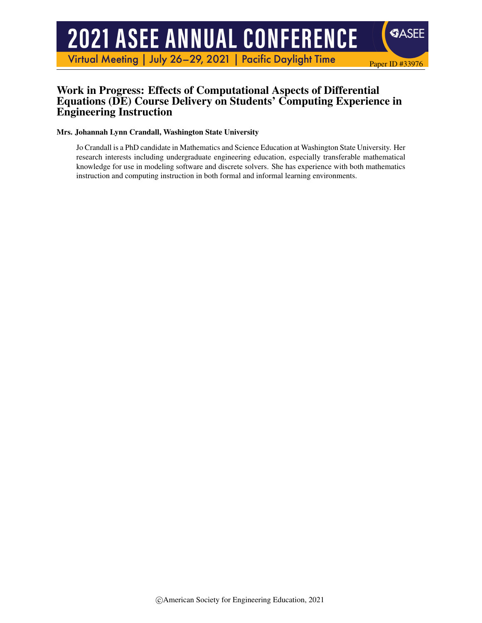# **2021 ASEE ANNUAL CONFERENCE**

Virtual Meeting | July 26-29, 2021 | Pacific Daylight Time

#### Work in Progress: Effects of Computational Aspects of Differential Equations (DE) Course Delivery on Students' Computing Experience in Engineering Instruction

Paper ID #33976

**SASEE** 

#### Mrs. Johannah Lynn Crandall, Washington State University

Jo Crandall is a PhD candidate in Mathematics and Science Education at Washington State University. Her research interests including undergraduate engineering education, especially transferable mathematical knowledge for use in modeling software and discrete solvers. She has experience with both mathematics instruction and computing instruction in both formal and informal learning environments.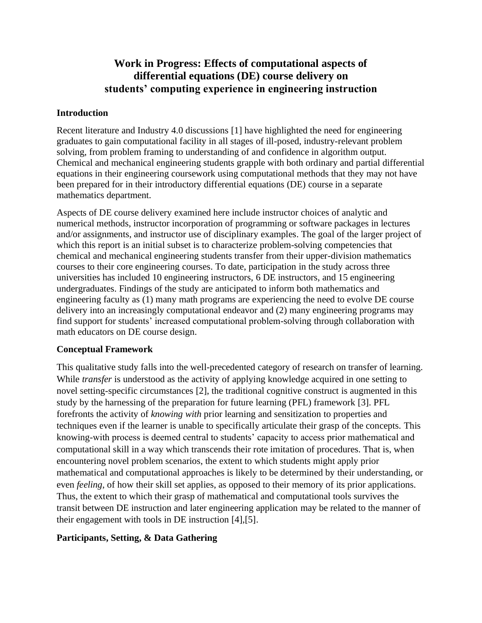## **Work in Progress: Effects of computational aspects of differential equations (DE) course delivery on students' computing experience in engineering instruction**

#### **Introduction**

Recent literature and Industry 4.0 discussions [1] have highlighted the need for engineering graduates to gain computational facility in all stages of ill-posed, industry-relevant problem solving, from problem framing to understanding of and confidence in algorithm output. Chemical and mechanical engineering students grapple with both ordinary and partial differential equations in their engineering coursework using computational methods that they may not have been prepared for in their introductory differential equations (DE) course in a separate mathematics department.

Aspects of DE course delivery examined here include instructor choices of analytic and numerical methods, instructor incorporation of programming or software packages in lectures and/or assignments, and instructor use of disciplinary examples. The goal of the larger project of which this report is an initial subset is to characterize problem-solving competencies that chemical and mechanical engineering students transfer from their upper-division mathematics courses to their core engineering courses. To date, participation in the study across three universities has included 10 engineering instructors, 6 DE instructors, and 15 engineering undergraduates. Findings of the study are anticipated to inform both mathematics and engineering faculty as (1) many math programs are experiencing the need to evolve DE course delivery into an increasingly computational endeavor and (2) many engineering programs may find support for students' increased computational problem-solving through collaboration with math educators on DE course design.

#### **Conceptual Framework**

This qualitative study falls into the well-precedented category of research on transfer of learning. While *transfer* is understood as the activity of applying knowledge acquired in one setting to novel setting-specific circumstances [2], the traditional cognitive construct is augmented in this study by the harnessing of the preparation for future learning (PFL) framework [3]. PFL forefronts the activity of *knowing with* prior learning and sensitization to properties and techniques even if the learner is unable to specifically articulate their grasp of the concepts. This knowing-with process is deemed central to students' capacity to access prior mathematical and computational skill in a way which transcends their rote imitation of procedures. That is, when encountering novel problem scenarios, the extent to which students might apply prior mathematical and computational approaches is likely to be determined by their understanding, or even *feeling*, of how their skill set applies, as opposed to their memory of its prior applications. Thus, the extent to which their grasp of mathematical and computational tools survives the transit between DE instruction and later engineering application may be related to the manner of their engagement with tools in DE instruction [4],[5].

#### **Participants, Setting, & Data Gathering**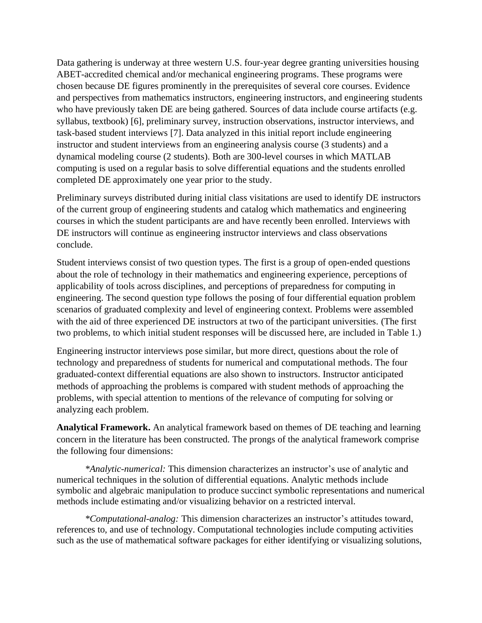Data gathering is underway at three western U.S. four-year degree granting universities housing ABET-accredited chemical and/or mechanical engineering programs. These programs were chosen because DE figures prominently in the prerequisites of several core courses. Evidence and perspectives from mathematics instructors, engineering instructors, and engineering students who have previously taken DE are being gathered. Sources of data include course artifacts (e.g. syllabus, textbook) [6], preliminary survey, instruction observations, instructor interviews, and task-based student interviews [7]. Data analyzed in this initial report include engineering instructor and student interviews from an engineering analysis course (3 students) and a dynamical modeling course (2 students). Both are 300-level courses in which MATLAB computing is used on a regular basis to solve differential equations and the students enrolled completed DE approximately one year prior to the study.

Preliminary surveys distributed during initial class visitations are used to identify DE instructors of the current group of engineering students and catalog which mathematics and engineering courses in which the student participants are and have recently been enrolled. Interviews with DE instructors will continue as engineering instructor interviews and class observations conclude.

Student interviews consist of two question types. The first is a group of open-ended questions about the role of technology in their mathematics and engineering experience, perceptions of applicability of tools across disciplines, and perceptions of preparedness for computing in engineering. The second question type follows the posing of four differential equation problem scenarios of graduated complexity and level of engineering context. Problems were assembled with the aid of three experienced DE instructors at two of the participant universities. (The first two problems, to which initial student responses will be discussed here, are included in Table 1.)

Engineering instructor interviews pose similar, but more direct, questions about the role of technology and preparedness of students for numerical and computational methods. The four graduated-context differential equations are also shown to instructors. Instructor anticipated methods of approaching the problems is compared with student methods of approaching the problems, with special attention to mentions of the relevance of computing for solving or analyzing each problem.

**Analytical Framework.** An analytical framework based on themes of DE teaching and learning concern in the literature has been constructed. The prongs of the analytical framework comprise the following four dimensions:

*\*Analytic-numerical:* This dimension characterizes an instructor's use of analytic and numerical techniques in the solution of differential equations. Analytic methods include symbolic and algebraic manipulation to produce succinct symbolic representations and numerical methods include estimating and/or visualizing behavior on a restricted interval.

*\*Computational-analog:* This dimension characterizes an instructor's attitudes toward, references to, and use of technology. Computational technologies include computing activities such as the use of mathematical software packages for either identifying or visualizing solutions,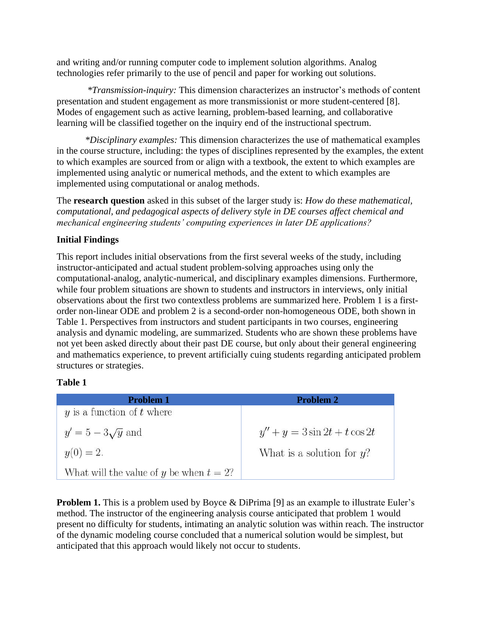and writing and/or running computer code to implement solution algorithms. Analog technologies refer primarily to the use of pencil and paper for working out solutions.

*\*Transmission-inquiry:* This dimension characterizes an instructor's methods of content presentation and student engagement as more transmissionist or more student-centered [8]. Modes of engagement such as active learning, problem-based learning, and collaborative learning will be classified together on the inquiry end of the instructional spectrum.

*\*Disciplinary examples:* This dimension characterizes the use of mathematical examples in the course structure, including: the types of disciplines represented by the examples, the extent to which examples are sourced from or align with a textbook, the extent to which examples are implemented using analytic or numerical methods, and the extent to which examples are implemented using computational or analog methods.

The **research question** asked in this subset of the larger study is: *How do these mathematical, computational, and pedagogical aspects of delivery style in DE courses affect chemical and mechanical engineering students' computing experiences in later DE applications?*

#### **Initial Findings**

This report includes initial observations from the first several weeks of the study, including instructor-anticipated and actual student problem-solving approaches using only the computational-analog, analytic-numerical, and disciplinary examples dimensions. Furthermore, while four problem situations are shown to students and instructors in interviews, only initial observations about the first two contextless problems are summarized here. Problem 1 is a firstorder non-linear ODE and problem 2 is a second-order non-homogeneous ODE, both shown in Table 1. Perspectives from instructors and student participants in two courses, engineering analysis and dynamic modeling, are summarized. Students who are shown these problems have not yet been asked directly about their past DE course, but only about their general engineering and mathematics experience, to prevent artificially cuing students regarding anticipated problem structures or strategies.

#### **Table 1**

| <b>Problem 1</b>                           | <b>Problem 2</b>                |
|--------------------------------------------|---------------------------------|
| $y$ is a function of $t$ where             |                                 |
| $y' = 5 - 3\sqrt{y}$ and                   | $y'' + y = 3\sin 2t + t\cos 2t$ |
| $y(0) = 2.$                                | What is a solution for $y$ ?    |
| What will the value of y be when $t = 2$ ? |                                 |

**Problem 1.** This is a problem used by Boyce & DiPrima [9] as an example to illustrate Euler's method. The instructor of the engineering analysis course anticipated that problem 1 would present no difficulty for students, intimating an analytic solution was within reach. The instructor of the dynamic modeling course concluded that a numerical solution would be simplest, but anticipated that this approach would likely not occur to students.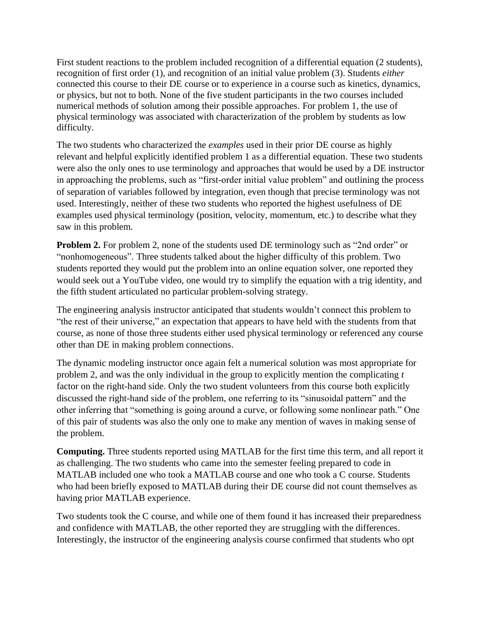First student reactions to the problem included recognition of a differential equation (2 students), recognition of first order (1), and recognition of an initial value problem (3). Students *either* connected this course to their DE course or to experience in a course such as kinetics, dynamics, or physics, but not to both. None of the five student participants in the two courses included numerical methods of solution among their possible approaches. For problem 1, the use of physical terminology was associated with characterization of the problem by students as low difficulty.

The two students who characterized the *examples* used in their prior DE course as highly relevant and helpful explicitly identified problem 1 as a differential equation. These two students were also the only ones to use terminology and approaches that would be used by a DE instructor in approaching the problems, such as "first-order initial value problem" and outlining the process of separation of variables followed by integration, even though that precise terminology was not used. Interestingly, neither of these two students who reported the highest usefulness of DE examples used physical terminology (position, velocity, momentum, etc.) to describe what they saw in this problem.

**Problem 2.** For problem 2, none of the students used DE terminology such as "2nd order" or "nonhomogeneous". Three students talked about the higher difficulty of this problem. Two students reported they would put the problem into an online equation solver, one reported they would seek out a YouTube video, one would try to simplify the equation with a trig identity, and the fifth student articulated no particular problem-solving strategy.

The engineering analysis instructor anticipated that students wouldn't connect this problem to "the rest of their universe," an expectation that appears to have held with the students from that course, as none of those three students either used physical terminology or referenced any course other than DE in making problem connections.

The dynamic modeling instructor once again felt a numerical solution was most appropriate for problem 2, and was the only individual in the group to explicitly mention the complicating *t* factor on the right-hand side. Only the two student volunteers from this course both explicitly discussed the right-hand side of the problem, one referring to its "sinusoidal pattern" and the other inferring that "something is going around a curve, or following some nonlinear path." One of this pair of students was also the only one to make any mention of waves in making sense of the problem.

**Computing.** Three students reported using MATLAB for the first time this term, and all report it as challenging. The two students who came into the semester feeling prepared to code in MATLAB included one who took a MATLAB course and one who took a C course. Students who had been briefly exposed to MATLAB during their DE course did not count themselves as having prior MATLAB experience.

Two students took the C course, and while one of them found it has increased their preparedness and confidence with MATLAB, the other reported they are struggling with the differences. Interestingly, the instructor of the engineering analysis course confirmed that students who opt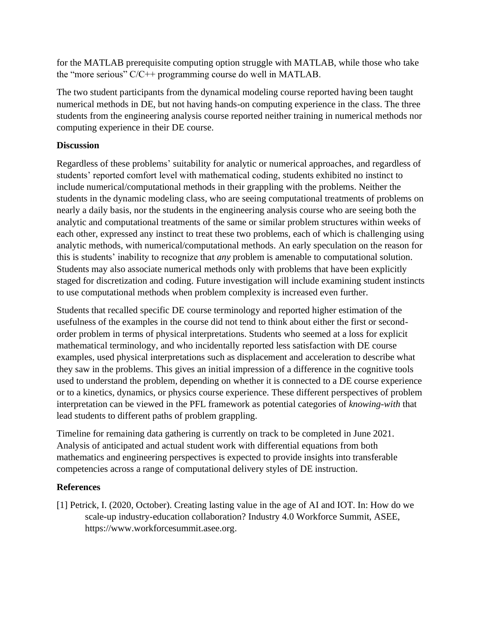for the MATLAB prerequisite computing option struggle with MATLAB, while those who take the "more serious" C/C++ programming course do well in MATLAB.

The two student participants from the dynamical modeling course reported having been taught numerical methods in DE, but not having hands-on computing experience in the class. The three students from the engineering analysis course reported neither training in numerical methods nor computing experience in their DE course.

#### **Discussion**

Regardless of these problems' suitability for analytic or numerical approaches, and regardless of students' reported comfort level with mathematical coding, students exhibited no instinct to include numerical/computational methods in their grappling with the problems. Neither the students in the dynamic modeling class, who are seeing computational treatments of problems on nearly a daily basis, nor the students in the engineering analysis course who are seeing both the analytic and computational treatments of the same or similar problem structures within weeks of each other, expressed any instinct to treat these two problems, each of which is challenging using analytic methods, with numerical/computational methods. An early speculation on the reason for this is students' inability to recognize that *any* problem is amenable to computational solution. Students may also associate numerical methods only with problems that have been explicitly staged for discretization and coding. Future investigation will include examining student instincts to use computational methods when problem complexity is increased even further.

Students that recalled specific DE course terminology and reported higher estimation of the usefulness of the examples in the course did not tend to think about either the first or secondorder problem in terms of physical interpretations. Students who seemed at a loss for explicit mathematical terminology, and who incidentally reported less satisfaction with DE course examples, used physical interpretations such as displacement and acceleration to describe what they saw in the problems. This gives an initial impression of a difference in the cognitive tools used to understand the problem, depending on whether it is connected to a DE course experience or to a kinetics, dynamics, or physics course experience. These different perspectives of problem interpretation can be viewed in the PFL framework as potential categories of *knowing-with* that lead students to different paths of problem grappling.

Timeline for remaining data gathering is currently on track to be completed in June 2021. Analysis of anticipated and actual student work with differential equations from both mathematics and engineering perspectives is expected to provide insights into transferable competencies across a range of computational delivery styles of DE instruction.

### **References**

[1] Petrick, I. (2020, October). Creating lasting value in the age of AI and IOT. In: How do we scale-up industry-education collaboration? Industry 4.0 Workforce Summit, ASEE, https://www.workforcesummit.asee.org.